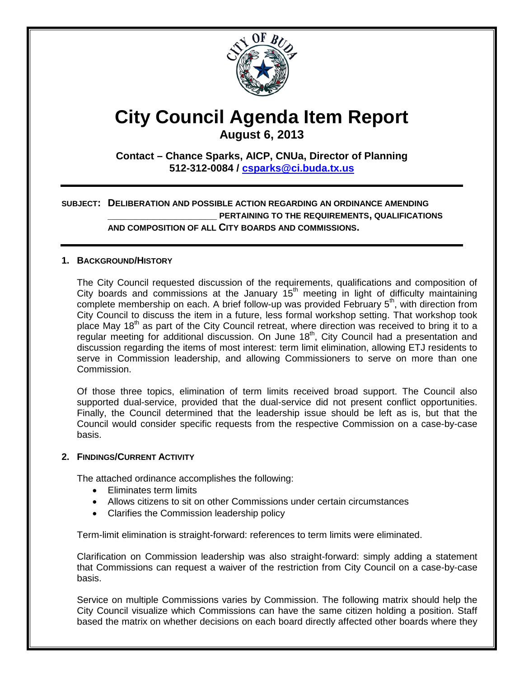

# **City Council Agenda Item Report**

**August 6, 2013**

**Contact – Chance Sparks, AICP, CNUa, Director of Planning 512-312-0084 / [csparks@ci.buda.tx.us](mailto:csparks@ci.buda.tx.us)**

#### **SUBJECT: DELIBERATION AND POSSIBLE ACTION REGARDING AN ORDINANCE AMENDING \_\_\_\_\_\_\_\_\_\_\_\_\_\_\_\_\_\_\_ PERTAINING TO THE REQUIREMENTS, QUALIFICATIONS AND COMPOSITION OF ALL CITY BOARDS AND COMMISSIONS.**

#### **1. BACKGROUND/HISTORY**

The City Council requested discussion of the requirements, qualifications and composition of City boards and commissions at the January  $15<sup>th</sup>$  meeting in light of difficulty maintaining complete membership on each. A brief follow-up was provided February  $5<sup>th</sup>$ , with direction from City Council to discuss the item in a future, less formal workshop setting. That workshop took place May 18<sup>th</sup> as part of the City Council retreat, where direction was received to bring it to a regular meeting for additional discussion. On June 18<sup>th</sup>, City Council had a presentation and discussion regarding the items of most interest: term limit elimination, allowing ETJ residents to serve in Commission leadership, and allowing Commissioners to serve on more than one Commission.

Of those three topics, elimination of term limits received broad support. The Council also supported dual-service, provided that the dual-service did not present conflict opportunities. Finally, the Council determined that the leadership issue should be left as is, but that the Council would consider specific requests from the respective Commission on a case-by-case basis.

#### **2. FINDINGS/CURRENT ACTIVITY**

The attached ordinance accomplishes the following:

- Eliminates term limits
- Allows citizens to sit on other Commissions under certain circumstances
- Clarifies the Commission leadership policy

Term-limit elimination is straight-forward: references to term limits were eliminated.

Clarification on Commission leadership was also straight-forward: simply adding a statement that Commissions can request a waiver of the restriction from City Council on a case-by-case basis.

Service on multiple Commissions varies by Commission. The following matrix should help the City Council visualize which Commissions can have the same citizen holding a position. Staff based the matrix on whether decisions on each board directly affected other boards where they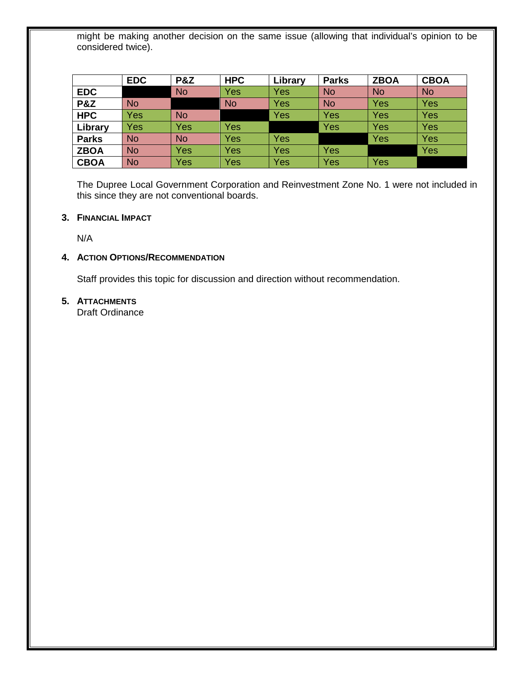might be making another decision on the same issue (allowing that individual's opinion to be considered twice).

|                | <b>EDC</b> | <b>P&amp;Z</b> | <b>HPC</b> | Library | <b>Parks</b> | <b>ZBOA</b> | <b>CBOA</b> |
|----------------|------------|----------------|------------|---------|--------------|-------------|-------------|
| <b>EDC</b>     |            | <b>No</b>      | Yes        | Yes     | <b>No</b>    | <b>No</b>   | <b>No</b>   |
| <b>P&amp;Z</b> | <b>No</b>  |                | <b>No</b>  | Yes     | <b>No</b>    | Yes         | Yes         |
| <b>HPC</b>     | Yes        | <b>No</b>      |            | Yes     | Yes          | Yes         | Yes         |
| Library        | Yes        | Yes            | Yes        |         | <b>Yes</b>   | Yes         | Yes         |
| <b>Parks</b>   | <b>No</b>  | <b>No</b>      | Yes        | Yes     |              | Yes         | Yes         |
| <b>ZBOA</b>    | <b>No</b>  | Yes            | Yes        | Yes     | <b>Yes</b>   |             | Yes         |
| <b>CBOA</b>    | <b>No</b>  | Yes            | Yes        | Yes     | Yes          | <b>Yes</b>  |             |

The Dupree Local Government Corporation and Reinvestment Zone No. 1 were not included in this since they are not conventional boards.

#### **3. FINANCIAL IMPACT**

N/A

#### **4. ACTION OPTIONS/RECOMMENDATION**

Staff provides this topic for discussion and direction without recommendation.

#### **5. ATTACHMENTS**

Draft Ordinance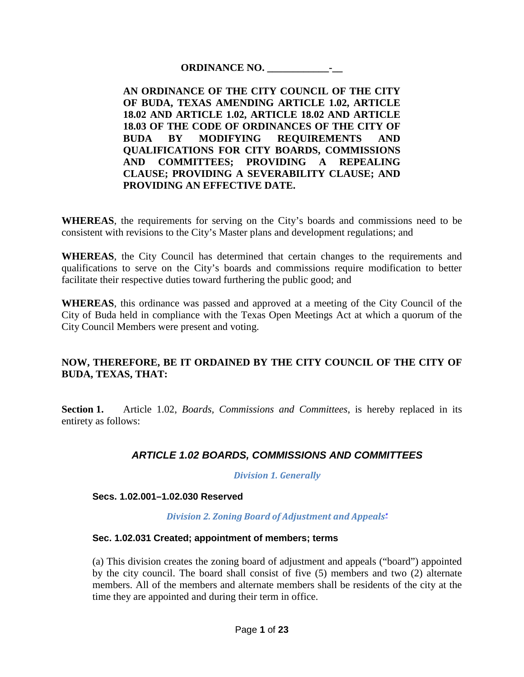#### **ORDINANCE NO. \_\_\_\_\_\_\_\_\_\_\_\_-\_\_**

**AN ORDINANCE OF THE CITY COUNCIL OF THE CITY OF BUDA, TEXAS AMENDING ARTICLE 1.02, ARTICLE 18.02 AND ARTICLE 1.02, ARTICLE 18.02 AND ARTICLE 18.03 OF THE CODE OF ORDINANCES OF THE CITY OF BUDA BY MODIFYING REQUIREMENTS AND QUALIFICATIONS FOR CITY BOARDS, COMMISSIONS AND COMMITTEES; PROVIDING A REPEALING CLAUSE; PROVIDING A SEVERABILITY CLAUSE; AND PROVIDING AN EFFECTIVE DATE.**

**WHEREAS**, the requirements for serving on the City's boards and commissions need to be consistent with revisions to the City's Master plans and development regulations; and

**WHEREAS**, the City Council has determined that certain changes to the requirements and qualifications to serve on the City's boards and commissions require modification to better facilitate their respective duties toward furthering the public good; and

**WHEREAS**, this ordinance was passed and approved at a meeting of the City Council of the City of Buda held in compliance with the Texas Open Meetings Act at which a quorum of the City Council Members were present and voting.

## **NOW, THEREFORE, BE IT ORDAINED BY THE CITY COUNCIL OF THE CITY OF BUDA, TEXAS, THAT:**

**Section 1.** Article 1.02, *Boards, Commissions and Committees*, is hereby replaced in its entirety as follows:

# *ARTICLE 1.02 BOARDS, COMMISSIONS AND COMMITTEES*

*Division 1. Generally*

#### **Secs. 1.02.001–1.02.030 Reserved**

*Division 2. Zoning Board of Adjustment and Appeal[s\\*](http://z2.franklinlegal.net/franklin/DocViewer.jsp?docid=6&z2collection=buda&showInToc=false)*

#### **Sec. 1.02.031 Created; appointment of members; terms**

(a) This division creates the zoning board of adjustment and appeals ("board") appointed by the city council. The board shall consist of five (5) members and two (2) alternate members. All of the members and alternate members shall be residents of the city at the time they are appointed and during their term in office.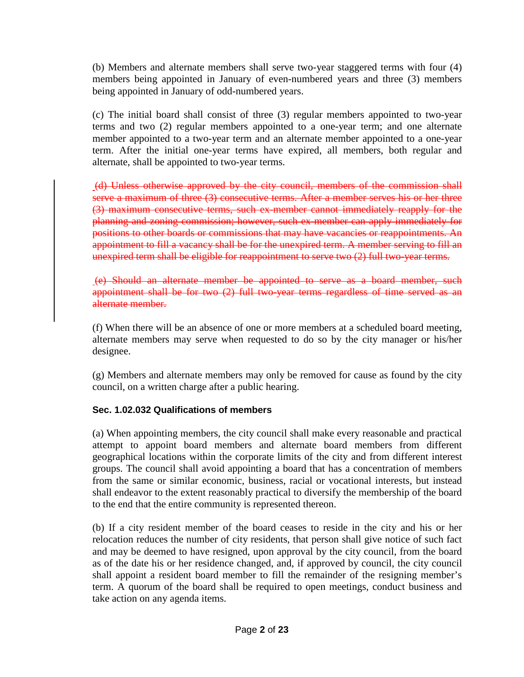(b) Members and alternate members shall serve two-year staggered terms with four (4) members being appointed in January of even-numbered years and three (3) members being appointed in January of odd-numbered years.

(c) The initial board shall consist of three (3) regular members appointed to two-year terms and two (2) regular members appointed to a one-year term; and one alternate member appointed to a two-year term and an alternate member appointed to a one-year term. After the initial one-year terms have expired, all members, both regular and alternate, shall be appointed to two-year terms.

(d) Unless otherwise approved by the city council, members of the commission shall serve a maximum of three (3) consecutive terms. After a member serves his or her three (3) maximum consecutive terms, such ex-member cannot immediately reapply for the planning and zoning commission; however, such ex-member can apply immediately for positions to other boards or commissions that may have vacancies or reappointments. An appointment to fill a vacancy shall be for the unexpired term. A member serving to fill an unexpired term shall be eligible for reappointment to serve two (2) full two-year terms.

(e) Should an alternate member be appointed to serve as a board member, such appointment shall be for two (2) full two-year terms regardless of time served as an alternate member.

(f) When there will be an absence of one or more members at a scheduled board meeting, alternate members may serve when requested to do so by the city manager or his/her designee.

(g) Members and alternate members may only be removed for cause as found by the city council, on a written charge after a public hearing.

## **Sec. 1.02.032 Qualifications of members**

(a) When appointing members, the city council shall make every reasonable and practical attempt to appoint board members and alternate board members from different geographical locations within the corporate limits of the city and from different interest groups. The council shall avoid appointing a board that has a concentration of members from the same or similar economic, business, racial or vocational interests, but instead shall endeavor to the extent reasonably practical to diversify the membership of the board to the end that the entire community is represented thereon.

(b) If a city resident member of the board ceases to reside in the city and his or her relocation reduces the number of city residents, that person shall give notice of such fact and may be deemed to have resigned, upon approval by the city council, from the board as of the date his or her residence changed, and, if approved by council, the city council shall appoint a resident board member to fill the remainder of the resigning member's term. A quorum of the board shall be required to open meetings, conduct business and take action on any agenda items.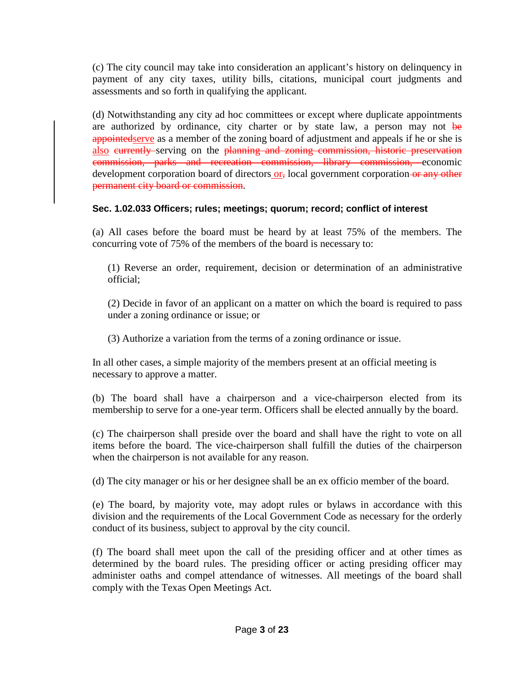(c) The city council may take into consideration an applicant's history on delinquency in payment of any city taxes, utility bills, citations, municipal court judgments and assessments and so forth in qualifying the applicant.

(d) Notwithstanding any city ad hoc committees or except where duplicate appointments are authorized by ordinance, city charter or by state law, a person may not be appointedserve as a member of the zoning board of adjustment and appeals if he or she is also eurrently serving on the planning and zoning commission, historic preservation commission, parks and recreation commission, library commission, economic development corporation board of directors or, local government corporation or any other permanent city board or commission.

## **Sec. 1.02.033 Officers; rules; meetings; quorum; record; conflict of interest**

(a) All cases before the board must be heard by at least 75% of the members. The concurring vote of 75% of the members of the board is necessary to:

(1) Reverse an order, requirement, decision or determination of an administrative official;

(2) Decide in favor of an applicant on a matter on which the board is required to pass under a zoning ordinance or issue; or

(3) Authorize a variation from the terms of a zoning ordinance or issue.

In all other cases, a simple majority of the members present at an official meeting is necessary to approve a matter.

(b) The board shall have a chairperson and a vice-chairperson elected from its membership to serve for a one-year term. Officers shall be elected annually by the board.

(c) The chairperson shall preside over the board and shall have the right to vote on all items before the board. The vice-chairperson shall fulfill the duties of the chairperson when the chairperson is not available for any reason.

(d) The city manager or his or her designee shall be an ex officio member of the board.

(e) The board, by majority vote, may adopt rules or bylaws in accordance with this division and the requirements of the Local Government Code as necessary for the orderly conduct of its business, subject to approval by the city council.

(f) The board shall meet upon the call of the presiding officer and at other times as determined by the board rules. The presiding officer or acting presiding officer may administer oaths and compel attendance of witnesses. All meetings of the board shall comply with the Texas Open Meetings Act.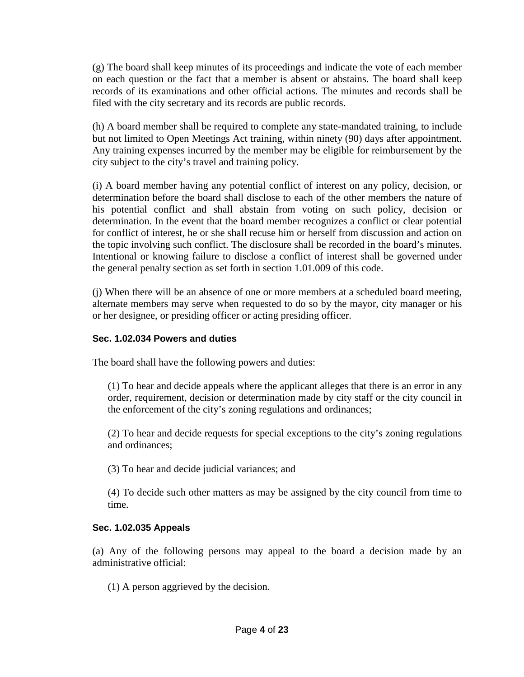(g) The board shall keep minutes of its proceedings and indicate the vote of each member on each question or the fact that a member is absent or abstains. The board shall keep records of its examinations and other official actions. The minutes and records shall be filed with the city secretary and its records are public records.

(h) A board member shall be required to complete any state-mandated training, to include but not limited to Open Meetings Act training, within ninety (90) days after appointment. Any training expenses incurred by the member may be eligible for reimbursement by the city subject to the city's travel and training policy.

(i) A board member having any potential conflict of interest on any policy, decision, or determination before the board shall disclose to each of the other members the nature of his potential conflict and shall abstain from voting on such policy, decision or determination. In the event that the board member recognizes a conflict or clear potential for conflict of interest, he or she shall recuse him or herself from discussion and action on the topic involving such conflict. The disclosure shall be recorded in the board's minutes. Intentional or knowing failure to disclose a conflict of interest shall be governed under the general penalty section as set forth in section 1.01.009 of this code.

(j) When there will be an absence of one or more members at a scheduled board meeting, alternate members may serve when requested to do so by the mayor, city manager or his or her designee, or presiding officer or acting presiding officer.

## **Sec. 1.02.034 Powers and duties**

The board shall have the following powers and duties:

(1) To hear and decide appeals where the applicant alleges that there is an error in any order, requirement, decision or determination made by city staff or the city council in the enforcement of the city's zoning regulations and ordinances;

(2) To hear and decide requests for special exceptions to the city's zoning regulations and ordinances;

(3) To hear and decide judicial variances; and

(4) To decide such other matters as may be assigned by the city council from time to time.

## **Sec. 1.02.035 Appeals**

(a) Any of the following persons may appeal to the board a decision made by an administrative official:

(1) A person aggrieved by the decision.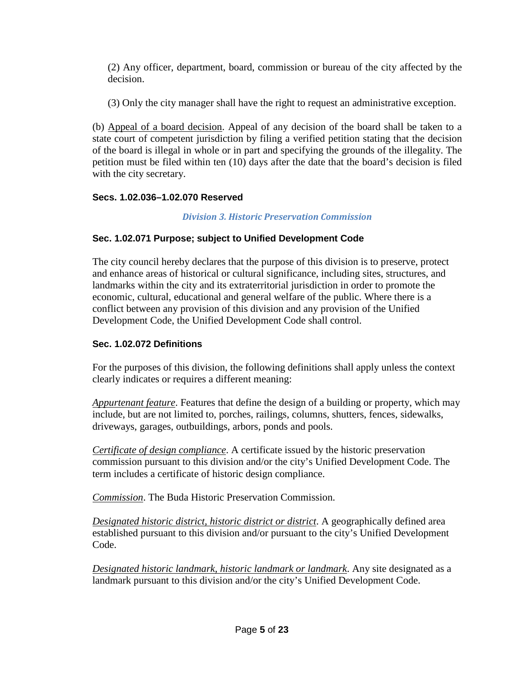(2) Any officer, department, board, commission or bureau of the city affected by the decision.

(3) Only the city manager shall have the right to request an administrative exception.

(b) Appeal of a board decision. Appeal of any decision of the board shall be taken to a state court of competent jurisdiction by filing a verified petition stating that the decision of the board is illegal in whole or in part and specifying the grounds of the illegality. The petition must be filed within ten (10) days after the date that the board's decision is filed with the city secretary.

# **Secs. 1.02.036–1.02.070 Reserved**

*Division 3. Historic Preservation Commission*

# **Sec. 1.02.071 Purpose; subject to Unified Development Code**

The city council hereby declares that the purpose of this division is to preserve, protect and enhance areas of historical or cultural significance, including sites, structures, and landmarks within the city and its extraterritorial jurisdiction in order to promote the economic, cultural, educational and general welfare of the public. Where there is a conflict between any provision of this division and any provision of the Unified Development Code, the Unified Development Code shall control.

# **Sec. 1.02.072 Definitions**

For the purposes of this division, the following definitions shall apply unless the context clearly indicates or requires a different meaning:

*Appurtenant feature*. Features that define the design of a building or property, which may include, but are not limited to, porches, railings, columns, shutters, fences, sidewalks, driveways, garages, outbuildings, arbors, ponds and pools.

*Certificate of design compliance*. A certificate issued by the historic preservation commission pursuant to this division and/or the city's Unified Development Code. The term includes a certificate of historic design compliance.

*Commission*. The Buda Historic Preservation Commission.

*Designated historic district, historic district or district*. A geographically defined area established pursuant to this division and/or pursuant to the city's Unified Development Code.

*Designated historic landmark, historic landmark or landmark*. Any site designated as a landmark pursuant to this division and/or the city's Unified Development Code.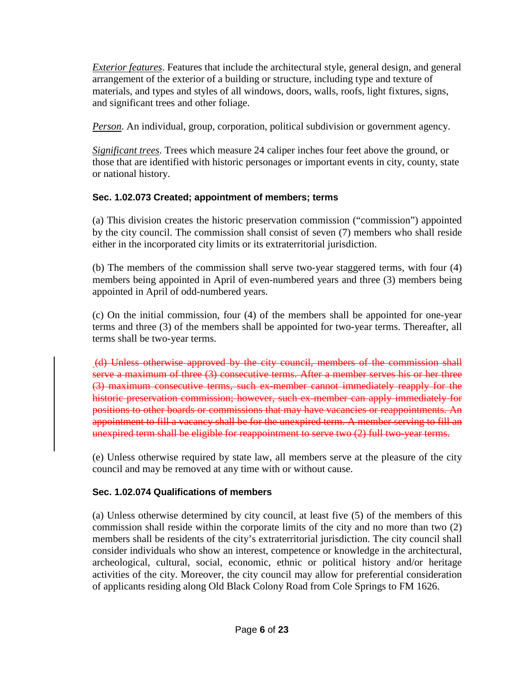*Exterior features*. Features that include the architectural style, general design, and general arrangement of the exterior of a building or structure, including type and texture of materials, and types and styles of all windows, doors, walls, roofs, light fixtures, signs, and significant trees and other foliage.

*Person*. An individual, group, corporation, political subdivision or government agency.

*Significant trees*. Trees which measure 24 caliper inches four feet above the ground, or those that are identified with historic personages or important events in city, county, state or national history.

# **Sec. 1.02.073 Created; appointment of members; terms**

(a) This division creates the historic preservation commission ("commission") appointed by the city council. The commission shall consist of seven (7) members who shall reside either in the incorporated city limits or its extraterritorial jurisdiction.

(b) The members of the commission shall serve two-year staggered terms, with four (4) members being appointed in April of even-numbered years and three (3) members being appointed in April of odd-numbered years.

(c) On the initial commission, four (4) of the members shall be appointed for one-year terms and three (3) of the members shall be appointed for two-year terms. Thereafter, all terms shall be two-year terms.

(d) Unless otherwise approved by the city council, members of the commission shall serve a maximum of three (3) consecutive terms. After a member serves his or her three (3) maximum consecutive terms, such ex-member cannot immediately reapply for the historic preservation commission; however, such ex-member can apply immediately for positions to other boards or commissions that may have vacancies or reappointments. An appointment to fill a vacancy shall be for the unexpired term. A member serving to fill an unexpired term shall be eligible for reappointment to serve two (2) full two-year terms.

(e) Unless otherwise required by state law, all members serve at the pleasure of the city council and may be removed at any time with or without cause.

# **Sec. 1.02.074 Qualifications of members**

(a) Unless otherwise determined by city council, at least five (5) of the members of this commission shall reside within the corporate limits of the city and no more than two (2) members shall be residents of the city's extraterritorial jurisdiction. The city council shall consider individuals who show an interest, competence or knowledge in the architectural, archeological, cultural, social, economic, ethnic or political history and/or heritage activities of the city. Moreover, the city council may allow for preferential consideration of applicants residing along Old Black Colony Road from Cole Springs to FM 1626.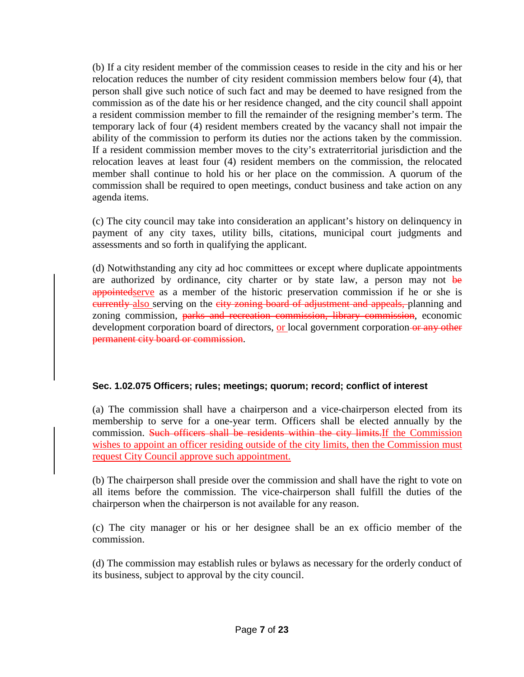(b) If a city resident member of the commission ceases to reside in the city and his or her relocation reduces the number of city resident commission members below four (4), that person shall give such notice of such fact and may be deemed to have resigned from the commission as of the date his or her residence changed, and the city council shall appoint a resident commission member to fill the remainder of the resigning member's term. The temporary lack of four (4) resident members created by the vacancy shall not impair the ability of the commission to perform its duties nor the actions taken by the commission. If a resident commission member moves to the city's extraterritorial jurisdiction and the relocation leaves at least four (4) resident members on the commission, the relocated member shall continue to hold his or her place on the commission. A quorum of the commission shall be required to open meetings, conduct business and take action on any agenda items.

(c) The city council may take into consideration an applicant's history on delinquency in payment of any city taxes, utility bills, citations, municipal court judgments and assessments and so forth in qualifying the applicant.

(d) Notwithstanding any city ad hoc committees or except where duplicate appointments are authorized by ordinance, city charter or by state law, a person may not be appointed serve as a member of the historic preservation commission if he or she is eurrently also serving on the eity zoning board of adjustment and appeals, planning and zoning commission, parks and recreation commission, library commission, economic development corporation board of directors, or local government corporation or any other permanent city board or commission.

## **Sec. 1.02.075 Officers; rules; meetings; quorum; record; conflict of interest**

(a) The commission shall have a chairperson and a vice-chairperson elected from its membership to serve for a one-year term. Officers shall be elected annually by the commission. Such officers shall be residents within the city limits.If the Commission wishes to appoint an officer residing outside of the city limits, then the Commission must request City Council approve such appointment.

(b) The chairperson shall preside over the commission and shall have the right to vote on all items before the commission. The vice-chairperson shall fulfill the duties of the chairperson when the chairperson is not available for any reason.

(c) The city manager or his or her designee shall be an ex officio member of the commission.

(d) The commission may establish rules or bylaws as necessary for the orderly conduct of its business, subject to approval by the city council.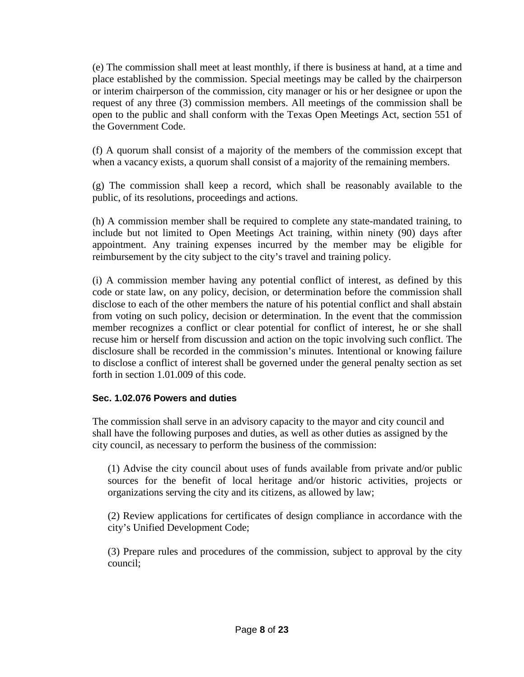(e) The commission shall meet at least monthly, if there is business at hand, at a time and place established by the commission. Special meetings may be called by the chairperson or interim chairperson of the commission, city manager or his or her designee or upon the request of any three (3) commission members. All meetings of the commission shall be open to the public and shall conform with the Texas Open Meetings Act, section 551 of the Government Code.

(f) A quorum shall consist of a majority of the members of the commission except that when a vacancy exists, a quorum shall consist of a majority of the remaining members.

(g) The commission shall keep a record, which shall be reasonably available to the public, of its resolutions, proceedings and actions.

(h) A commission member shall be required to complete any state-mandated training, to include but not limited to Open Meetings Act training, within ninety (90) days after appointment. Any training expenses incurred by the member may be eligible for reimbursement by the city subject to the city's travel and training policy.

(i) A commission member having any potential conflict of interest, as defined by this code or state law, on any policy, decision, or determination before the commission shall disclose to each of the other members the nature of his potential conflict and shall abstain from voting on such policy, decision or determination. In the event that the commission member recognizes a conflict or clear potential for conflict of interest, he or she shall recuse him or herself from discussion and action on the topic involving such conflict. The disclosure shall be recorded in the commission's minutes. Intentional or knowing failure to disclose a conflict of interest shall be governed under the general penalty section as set forth in section 1.01.009 of this code.

## **Sec. 1.02.076 Powers and duties**

The commission shall serve in an advisory capacity to the mayor and city council and shall have the following purposes and duties, as well as other duties as assigned by the city council, as necessary to perform the business of the commission:

(1) Advise the city council about uses of funds available from private and/or public sources for the benefit of local heritage and/or historic activities, projects or organizations serving the city and its citizens, as allowed by law;

(2) Review applications for certificates of design compliance in accordance with the city's Unified Development Code;

(3) Prepare rules and procedures of the commission, subject to approval by the city council;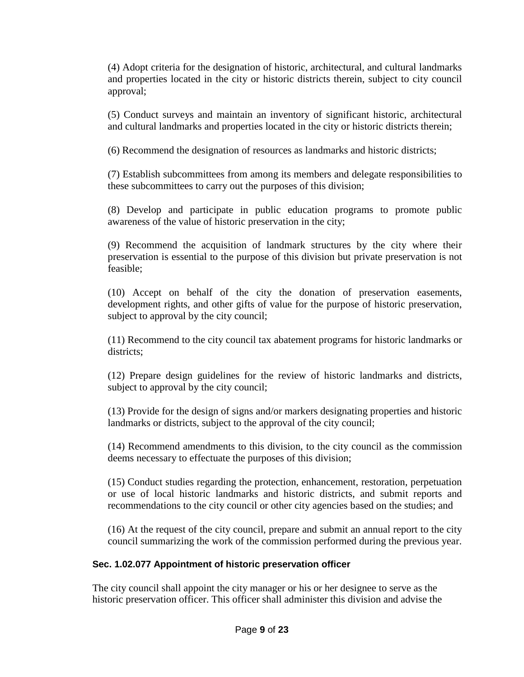(4) Adopt criteria for the designation of historic, architectural, and cultural landmarks and properties located in the city or historic districts therein, subject to city council approval;

(5) Conduct surveys and maintain an inventory of significant historic, architectural and cultural landmarks and properties located in the city or historic districts therein;

(6) Recommend the designation of resources as landmarks and historic districts;

(7) Establish subcommittees from among its members and delegate responsibilities to these subcommittees to carry out the purposes of this division;

(8) Develop and participate in public education programs to promote public awareness of the value of historic preservation in the city;

(9) Recommend the acquisition of landmark structures by the city where their preservation is essential to the purpose of this division but private preservation is not feasible;

(10) Accept on behalf of the city the donation of preservation easements, development rights, and other gifts of value for the purpose of historic preservation, subject to approval by the city council;

(11) Recommend to the city council tax abatement programs for historic landmarks or districts;

(12) Prepare design guidelines for the review of historic landmarks and districts, subject to approval by the city council;

(13) Provide for the design of signs and/or markers designating properties and historic landmarks or districts, subject to the approval of the city council;

(14) Recommend amendments to this division, to the city council as the commission deems necessary to effectuate the purposes of this division;

(15) Conduct studies regarding the protection, enhancement, restoration, perpetuation or use of local historic landmarks and historic districts, and submit reports and recommendations to the city council or other city agencies based on the studies; and

(16) At the request of the city council, prepare and submit an annual report to the city council summarizing the work of the commission performed during the previous year.

# **Sec. 1.02.077 Appointment of historic preservation officer**

The city council shall appoint the city manager or his or her designee to serve as the historic preservation officer. This officer shall administer this division and advise the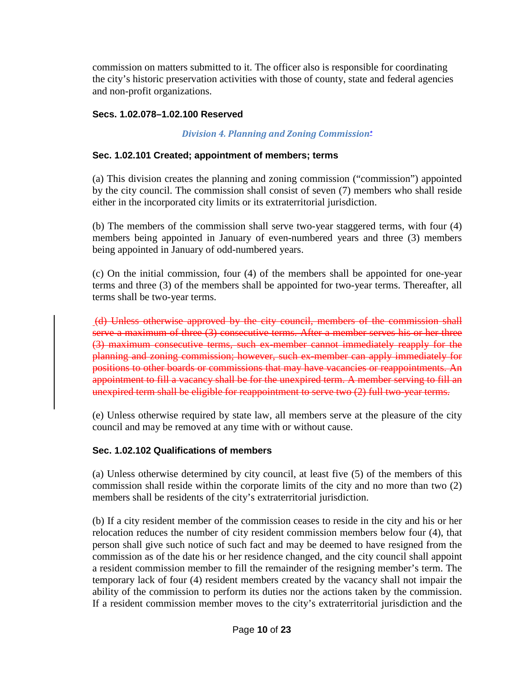commission on matters submitted to it. The officer also is responsible for coordinating the city's historic preservation activities with those of county, state and federal agencies and non-profit organizations.

## **Secs. 1.02.078–1.02.100 Reserved**

## *Division 4. Planning and Zoning Commissio[n\\*](http://z2.franklinlegal.net/franklin/DocViewer.jsp?docid=7&z2collection=buda&showInToc=false)*

## **Sec. 1.02.101 Created; appointment of members; terms**

(a) This division creates the planning and zoning commission ("commission") appointed by the city council. The commission shall consist of seven (7) members who shall reside either in the incorporated city limits or its extraterritorial jurisdiction.

(b) The members of the commission shall serve two-year staggered terms, with four (4) members being appointed in January of even-numbered years and three (3) members being appointed in January of odd-numbered years.

(c) On the initial commission, four (4) of the members shall be appointed for one-year terms and three (3) of the members shall be appointed for two-year terms. Thereafter, all terms shall be two-year terms.

(d) Unless otherwise approved by the city council, members of the commission shall serve a maximum of three (3) consecutive terms. After a member serves his or her three (3) maximum consecutive terms, such ex-member cannot immediately reapply for the planning and zoning commission; however, such ex-member can apply immediately for positions to other boards or commissions that may have vacancies or reappointments. An appointment to fill a vacancy shall be for the unexpired term. A member serving to fill an unexpired term shall be eligible for reappointment to serve two (2) full two-year terms.

(e) Unless otherwise required by state law, all members serve at the pleasure of the city council and may be removed at any time with or without cause.

## **Sec. 1.02.102 Qualifications of members**

(a) Unless otherwise determined by city council, at least five (5) of the members of this commission shall reside within the corporate limits of the city and no more than two (2) members shall be residents of the city's extraterritorial jurisdiction.

(b) If a city resident member of the commission ceases to reside in the city and his or her relocation reduces the number of city resident commission members below four (4), that person shall give such notice of such fact and may be deemed to have resigned from the commission as of the date his or her residence changed, and the city council shall appoint a resident commission member to fill the remainder of the resigning member's term. The temporary lack of four (4) resident members created by the vacancy shall not impair the ability of the commission to perform its duties nor the actions taken by the commission. If a resident commission member moves to the city's extraterritorial jurisdiction and the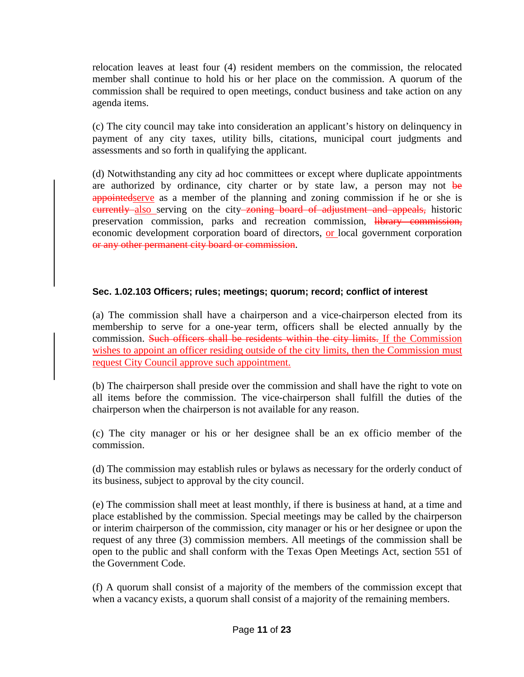relocation leaves at least four (4) resident members on the commission, the relocated member shall continue to hold his or her place on the commission. A quorum of the commission shall be required to open meetings, conduct business and take action on any agenda items.

(c) The city council may take into consideration an applicant's history on delinquency in payment of any city taxes, utility bills, citations, municipal court judgments and assessments and so forth in qualifying the applicant.

(d) Notwithstanding any city ad hoc committees or except where duplicate appointments are authorized by ordinance, city charter or by state law, a person may not be appointed serve as a member of the planning and zoning commission if he or she is eurrently also serving on the city zoning board of adjustment and appeals, historic preservation commission, parks and recreation commission, library commission, economic development corporation board of directors, or local government corporation or any other permanent city board or commission.

## **Sec. 1.02.103 Officers; rules; meetings; quorum; record; conflict of interest**

(a) The commission shall have a chairperson and a vice-chairperson elected from its membership to serve for a one-year term, officers shall be elected annually by the commission. Such officers shall be residents within the city limits. If the Commission wishes to appoint an officer residing outside of the city limits, then the Commission must request City Council approve such appointment.

(b) The chairperson shall preside over the commission and shall have the right to vote on all items before the commission. The vice-chairperson shall fulfill the duties of the chairperson when the chairperson is not available for any reason.

(c) The city manager or his or her designee shall be an ex officio member of the commission.

(d) The commission may establish rules or bylaws as necessary for the orderly conduct of its business, subject to approval by the city council.

(e) The commission shall meet at least monthly, if there is business at hand, at a time and place established by the commission. Special meetings may be called by the chairperson or interim chairperson of the commission, city manager or his or her designee or upon the request of any three (3) commission members. All meetings of the commission shall be open to the public and shall conform with the Texas Open Meetings Act, section 551 of the Government Code.

(f) A quorum shall consist of a majority of the members of the commission except that when a vacancy exists, a quorum shall consist of a majority of the remaining members.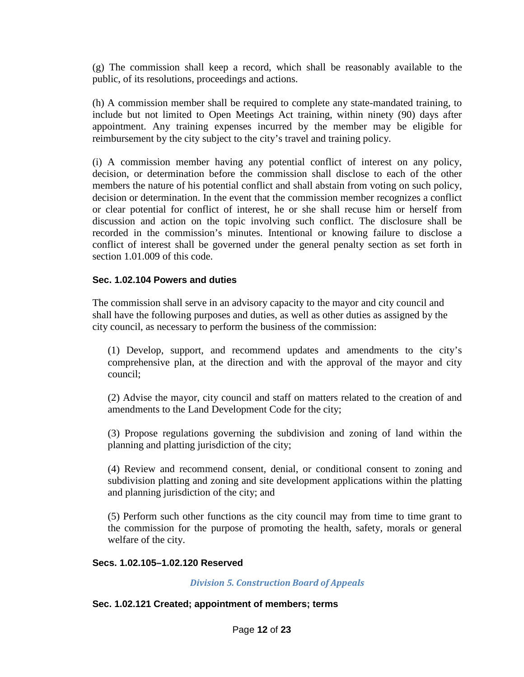(g) The commission shall keep a record, which shall be reasonably available to the public, of its resolutions, proceedings and actions.

(h) A commission member shall be required to complete any state-mandated training, to include but not limited to Open Meetings Act training, within ninety (90) days after appointment. Any training expenses incurred by the member may be eligible for reimbursement by the city subject to the city's travel and training policy.

(i) A commission member having any potential conflict of interest on any policy, decision, or determination before the commission shall disclose to each of the other members the nature of his potential conflict and shall abstain from voting on such policy, decision or determination. In the event that the commission member recognizes a conflict or clear potential for conflict of interest, he or she shall recuse him or herself from discussion and action on the topic involving such conflict. The disclosure shall be recorded in the commission's minutes. Intentional or knowing failure to disclose a conflict of interest shall be governed under the general penalty section as set forth in section 1.01.009 of this code.

#### **Sec. 1.02.104 Powers and duties**

The commission shall serve in an advisory capacity to the mayor and city council and shall have the following purposes and duties, as well as other duties as assigned by the city council, as necessary to perform the business of the commission:

(1) Develop, support, and recommend updates and amendments to the city's comprehensive plan, at the direction and with the approval of the mayor and city council;

(2) Advise the mayor, city council and staff on matters related to the creation of and amendments to the Land Development Code for the city;

(3) Propose regulations governing the subdivision and zoning of land within the planning and platting jurisdiction of the city;

(4) Review and recommend consent, denial, or conditional consent to zoning and subdivision platting and zoning and site development applications within the platting and planning jurisdiction of the city; and

(5) Perform such other functions as the city council may from time to time grant to the commission for the purpose of promoting the health, safety, morals or general welfare of the city.

#### **Secs. 1.02.105–1.02.120 Reserved**

*Division 5. Construction Board of Appeals*

#### **Sec. 1.02.121 Created; appointment of members; terms**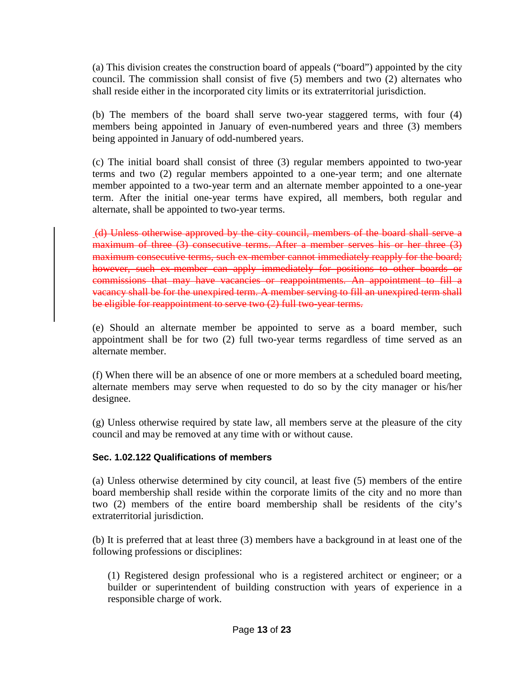(a) This division creates the construction board of appeals ("board") appointed by the city council. The commission shall consist of five (5) members and two (2) alternates who shall reside either in the incorporated city limits or its extraterritorial jurisdiction.

(b) The members of the board shall serve two-year staggered terms, with four (4) members being appointed in January of even-numbered years and three (3) members being appointed in January of odd-numbered years.

(c) The initial board shall consist of three (3) regular members appointed to two-year terms and two (2) regular members appointed to a one-year term; and one alternate member appointed to a two-year term and an alternate member appointed to a one-year term. After the initial one-year terms have expired, all members, both regular and alternate, shall be appointed to two-year terms.

(d) Unless otherwise approved by the city council, members of the board shall serve a maximum of three (3) consecutive terms. After a member serves his or her three (3) maximum consecutive terms, such ex-member cannot immediately reapply for the board; however, such ex-member can apply immediately for positions to other boards or commissions that may have vacancies or reappointments. An appointment to fill a vacancy shall be for the unexpired term. A member serving to fill an unexpired term shall be eligible for reappointment to serve two (2) full two-year terms.

(e) Should an alternate member be appointed to serve as a board member, such appointment shall be for two (2) full two-year terms regardless of time served as an alternate member.

(f) When there will be an absence of one or more members at a scheduled board meeting, alternate members may serve when requested to do so by the city manager or his/her designee.

(g) Unless otherwise required by state law, all members serve at the pleasure of the city council and may be removed at any time with or without cause.

## **Sec. 1.02.122 Qualifications of members**

(a) Unless otherwise determined by city council, at least five (5) members of the entire board membership shall reside within the corporate limits of the city and no more than two (2) members of the entire board membership shall be residents of the city's extraterritorial jurisdiction.

(b) It is preferred that at least three (3) members have a background in at least one of the following professions or disciplines:

(1) Registered design professional who is a registered architect or engineer; or a builder or superintendent of building construction with years of experience in a responsible charge of work.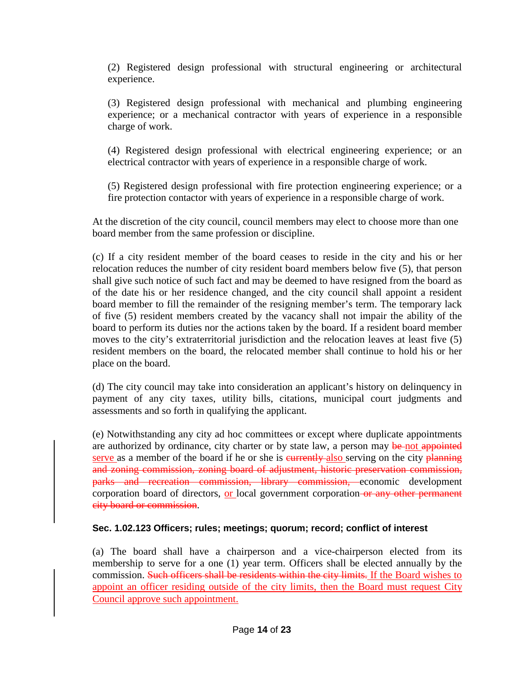(2) Registered design professional with structural engineering or architectural experience.

(3) Registered design professional with mechanical and plumbing engineering experience; or a mechanical contractor with years of experience in a responsible charge of work.

(4) Registered design professional with electrical engineering experience; or an electrical contractor with years of experience in a responsible charge of work.

(5) Registered design professional with fire protection engineering experience; or a fire protection contactor with years of experience in a responsible charge of work.

At the discretion of the city council, council members may elect to choose more than one board member from the same profession or discipline.

(c) If a city resident member of the board ceases to reside in the city and his or her relocation reduces the number of city resident board members below five (5), that person shall give such notice of such fact and may be deemed to have resigned from the board as of the date his or her residence changed, and the city council shall appoint a resident board member to fill the remainder of the resigning member's term. The temporary lack of five (5) resident members created by the vacancy shall not impair the ability of the board to perform its duties nor the actions taken by the board. If a resident board member moves to the city's extraterritorial jurisdiction and the relocation leaves at least five (5) resident members on the board, the relocated member shall continue to hold his or her place on the board.

(d) The city council may take into consideration an applicant's history on delinquency in payment of any city taxes, utility bills, citations, municipal court judgments and assessments and so forth in qualifying the applicant.

(e) Notwithstanding any city ad hoc committees or except where duplicate appointments are authorized by ordinance, city charter or by state law, a person may be not appointed serve as a member of the board if he or she is eurrently also serving on the city planning and zoning commission, zoning board of adjustment, historic preservation commission, parks and recreation commission, library commission, economic development corporation board of directors, or local government corporation-or any other permanent city board or commission.

## **Sec. 1.02.123 Officers; rules; meetings; quorum; record; conflict of interest**

(a) The board shall have a chairperson and a vice-chairperson elected from its membership to serve for a one (1) year term. Officers shall be elected annually by the commission. Such officers shall be residents within the city limits. If the Board wishes to appoint an officer residing outside of the city limits, then the Board must request City Council approve such appointment.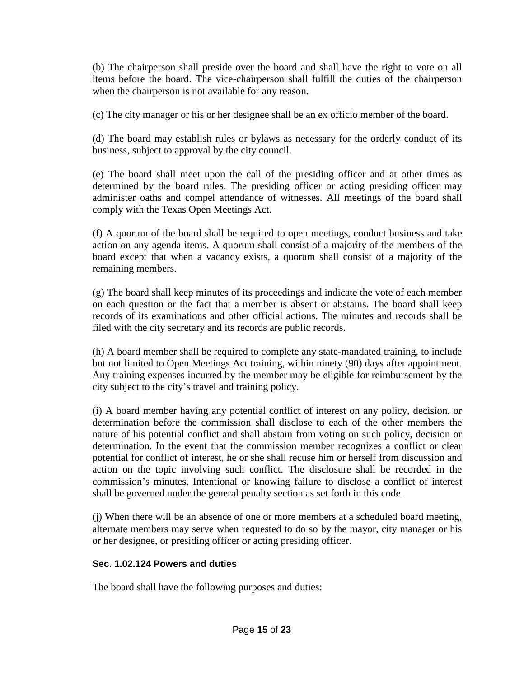(b) The chairperson shall preside over the board and shall have the right to vote on all items before the board. The vice-chairperson shall fulfill the duties of the chairperson when the chairperson is not available for any reason.

(c) The city manager or his or her designee shall be an ex officio member of the board.

(d) The board may establish rules or bylaws as necessary for the orderly conduct of its business, subject to approval by the city council.

(e) The board shall meet upon the call of the presiding officer and at other times as determined by the board rules. The presiding officer or acting presiding officer may administer oaths and compel attendance of witnesses. All meetings of the board shall comply with the Texas Open Meetings Act.

(f) A quorum of the board shall be required to open meetings, conduct business and take action on any agenda items. A quorum shall consist of a majority of the members of the board except that when a vacancy exists, a quorum shall consist of a majority of the remaining members.

(g) The board shall keep minutes of its proceedings and indicate the vote of each member on each question or the fact that a member is absent or abstains. The board shall keep records of its examinations and other official actions. The minutes and records shall be filed with the city secretary and its records are public records.

(h) A board member shall be required to complete any state-mandated training, to include but not limited to Open Meetings Act training, within ninety (90) days after appointment. Any training expenses incurred by the member may be eligible for reimbursement by the city subject to the city's travel and training policy.

(i) A board member having any potential conflict of interest on any policy, decision, or determination before the commission shall disclose to each of the other members the nature of his potential conflict and shall abstain from voting on such policy, decision or determination. In the event that the commission member recognizes a conflict or clear potential for conflict of interest, he or she shall recuse him or herself from discussion and action on the topic involving such conflict. The disclosure shall be recorded in the commission's minutes. Intentional or knowing failure to disclose a conflict of interest shall be governed under the general penalty section as set forth in this code.

(j) When there will be an absence of one or more members at a scheduled board meeting, alternate members may serve when requested to do so by the mayor, city manager or his or her designee, or presiding officer or acting presiding officer.

# **Sec. 1.02.124 Powers and duties**

The board shall have the following purposes and duties: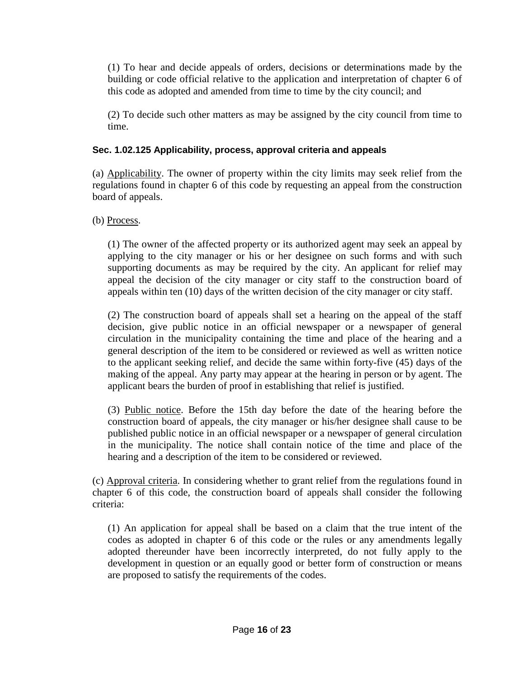(1) To hear and decide appeals of orders, decisions or determinations made by the building or code official relative to the application and interpretation of chapter 6 of this code as adopted and amended from time to time by the city council; and

(2) To decide such other matters as may be assigned by the city council from time to time.

# **Sec. 1.02.125 Applicability, process, approval criteria and appeals**

(a) Applicability. The owner of property within the city limits may seek relief from the regulations found in chapter 6 of this code by requesting an appeal from the construction board of appeals.

(b) Process.

(1) The owner of the affected property or its authorized agent may seek an appeal by applying to the city manager or his or her designee on such forms and with such supporting documents as may be required by the city. An applicant for relief may appeal the decision of the city manager or city staff to the construction board of appeals within ten (10) days of the written decision of the city manager or city staff.

(2) The construction board of appeals shall set a hearing on the appeal of the staff decision, give public notice in an official newspaper or a newspaper of general circulation in the municipality containing the time and place of the hearing and a general description of the item to be considered or reviewed as well as written notice to the applicant seeking relief, and decide the same within forty-five (45) days of the making of the appeal. Any party may appear at the hearing in person or by agent. The applicant bears the burden of proof in establishing that relief is justified.

(3) Public notice. Before the 15th day before the date of the hearing before the construction board of appeals, the city manager or his/her designee shall cause to be published public notice in an official newspaper or a newspaper of general circulation in the municipality. The notice shall contain notice of the time and place of the hearing and a description of the item to be considered or reviewed.

(c) Approval criteria. In considering whether to grant relief from the regulations found in chapter 6 of this code, the construction board of appeals shall consider the following criteria:

(1) An application for appeal shall be based on a claim that the true intent of the codes as adopted in chapter 6 of this code or the rules or any amendments legally adopted thereunder have been incorrectly interpreted, do not fully apply to the development in question or an equally good or better form of construction or means are proposed to satisfy the requirements of the codes.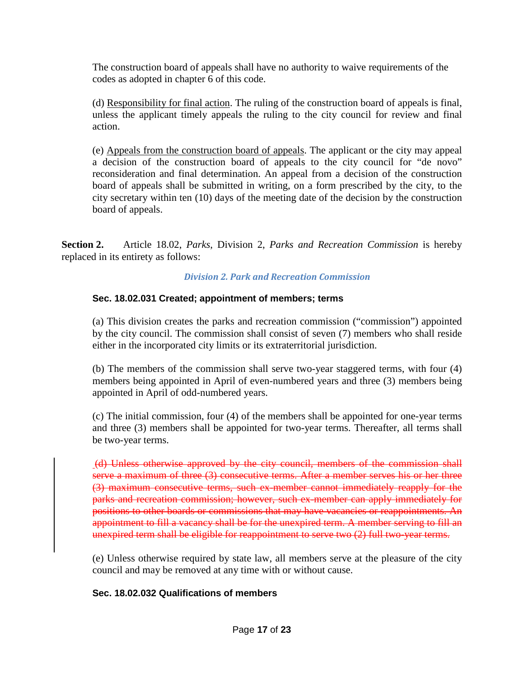The construction board of appeals shall have no authority to waive requirements of the codes as adopted in chapter 6 of this code.

(d) Responsibility for final action. The ruling of the construction board of appeals is final, unless the applicant timely appeals the ruling to the city council for review and final action.

(e) Appeals from the construction board of appeals. The applicant or the city may appeal a decision of the construction board of appeals to the city council for "de novo" reconsideration and final determination. An appeal from a decision of the construction board of appeals shall be submitted in writing, on a form prescribed by the city, to the city secretary within ten (10) days of the meeting date of the decision by the construction board of appeals.

**Section 2.** Article 18.02, *Parks*, Division 2, *Parks and Recreation Commission* is hereby replaced in its entirety as follows:

## *Division 2. Park and Recreation Commission*

# **Sec. 18.02.031 Created; appointment of members; terms**

(a) This division creates the parks and recreation commission ("commission") appointed by the city council. The commission shall consist of seven (7) members who shall reside either in the incorporated city limits or its extraterritorial jurisdiction.

(b) The members of the commission shall serve two-year staggered terms, with four (4) members being appointed in April of even-numbered years and three (3) members being appointed in April of odd-numbered years.

(c) The initial commission, four (4) of the members shall be appointed for one-year terms and three (3) members shall be appointed for two-year terms. Thereafter, all terms shall be two-year terms.

(d) Unless otherwise approved by the city council, members of the commission shall serve a maximum of three (3) consecutive terms. After a member serves his or her three (3) maximum consecutive terms, such ex-member cannot immediately reapply for the parks and recreation commission; however, such ex-member can apply immediately for positions to other boards or commissions that may have vacancies or reappointments. An appointment to fill a vacancy shall be for the unexpired term. A member serving to fill an unexpired term shall be eligible for reappointment to serve two (2) full two-year terms.

(e) Unless otherwise required by state law, all members serve at the pleasure of the city council and may be removed at any time with or without cause.

## **Sec. 18.02.032 Qualifications of members**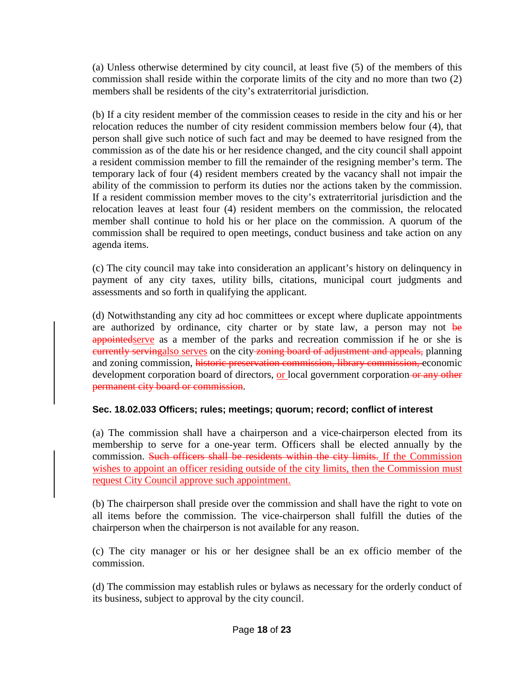(a) Unless otherwise determined by city council, at least five (5) of the members of this commission shall reside within the corporate limits of the city and no more than two (2) members shall be residents of the city's extraterritorial jurisdiction.

(b) If a city resident member of the commission ceases to reside in the city and his or her relocation reduces the number of city resident commission members below four (4), that person shall give such notice of such fact and may be deemed to have resigned from the commission as of the date his or her residence changed, and the city council shall appoint a resident commission member to fill the remainder of the resigning member's term. The temporary lack of four (4) resident members created by the vacancy shall not impair the ability of the commission to perform its duties nor the actions taken by the commission. If a resident commission member moves to the city's extraterritorial jurisdiction and the relocation leaves at least four (4) resident members on the commission, the relocated member shall continue to hold his or her place on the commission. A quorum of the commission shall be required to open meetings, conduct business and take action on any agenda items.

(c) The city council may take into consideration an applicant's history on delinquency in payment of any city taxes, utility bills, citations, municipal court judgments and assessments and so forth in qualifying the applicant.

(d) Notwithstanding any city ad hoc committees or except where duplicate appointments are authorized by ordinance, city charter or by state law, a person may not be appointed serve as a member of the parks and recreation commission if he or she is eurrently servingalso serves on the city-zoning board of adjustment and appeals, planning and zoning commission, historic preservation commission, library commission, economic development corporation board of directors, or local government corporation or any other permanent city board or commission.

# **Sec. 18.02.033 Officers; rules; meetings; quorum; record; conflict of interest**

(a) The commission shall have a chairperson and a vice-chairperson elected from its membership to serve for a one-year term. Officers shall be elected annually by the commission. Such officers shall be residents within the city limits. If the Commission wishes to appoint an officer residing outside of the city limits, then the Commission must request City Council approve such appointment.

(b) The chairperson shall preside over the commission and shall have the right to vote on all items before the commission. The vice-chairperson shall fulfill the duties of the chairperson when the chairperson is not available for any reason.

(c) The city manager or his or her designee shall be an ex officio member of the commission.

(d) The commission may establish rules or bylaws as necessary for the orderly conduct of its business, subject to approval by the city council.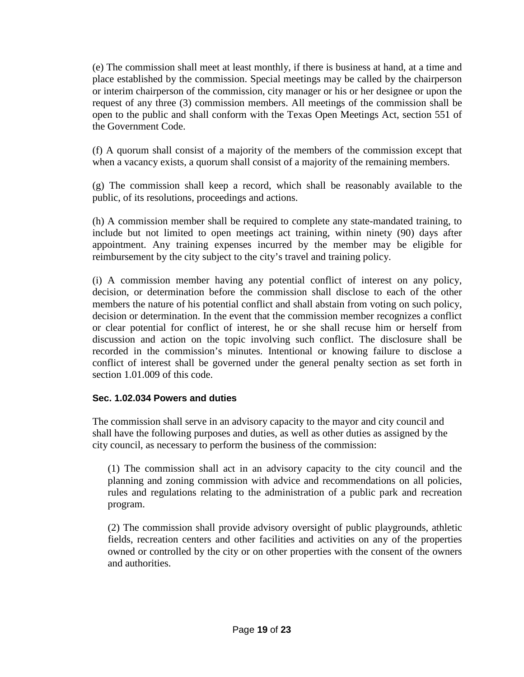(e) The commission shall meet at least monthly, if there is business at hand, at a time and place established by the commission. Special meetings may be called by the chairperson or interim chairperson of the commission, city manager or his or her designee or upon the request of any three (3) commission members. All meetings of the commission shall be open to the public and shall conform with the Texas Open Meetings Act, section 551 of the Government Code.

(f) A quorum shall consist of a majority of the members of the commission except that when a vacancy exists, a quorum shall consist of a majority of the remaining members.

(g) The commission shall keep a record, which shall be reasonably available to the public, of its resolutions, proceedings and actions.

(h) A commission member shall be required to complete any state-mandated training, to include but not limited to open meetings act training, within ninety (90) days after appointment. Any training expenses incurred by the member may be eligible for reimbursement by the city subject to the city's travel and training policy.

(i) A commission member having any potential conflict of interest on any policy, decision, or determination before the commission shall disclose to each of the other members the nature of his potential conflict and shall abstain from voting on such policy, decision or determination. In the event that the commission member recognizes a conflict or clear potential for conflict of interest, he or she shall recuse him or herself from discussion and action on the topic involving such conflict. The disclosure shall be recorded in the commission's minutes. Intentional or knowing failure to disclose a conflict of interest shall be governed under the general penalty section as set forth in section 1.01.009 of this code.

## **Sec. 1.02.034 Powers and duties**

The commission shall serve in an advisory capacity to the mayor and city council and shall have the following purposes and duties, as well as other duties as assigned by the city council, as necessary to perform the business of the commission:

(1) The commission shall act in an advisory capacity to the city council and the planning and zoning commission with advice and recommendations on all policies, rules and regulations relating to the administration of a public park and recreation program.

(2) The commission shall provide advisory oversight of public playgrounds, athletic fields, recreation centers and other facilities and activities on any of the properties owned or controlled by the city or on other properties with the consent of the owners and authorities.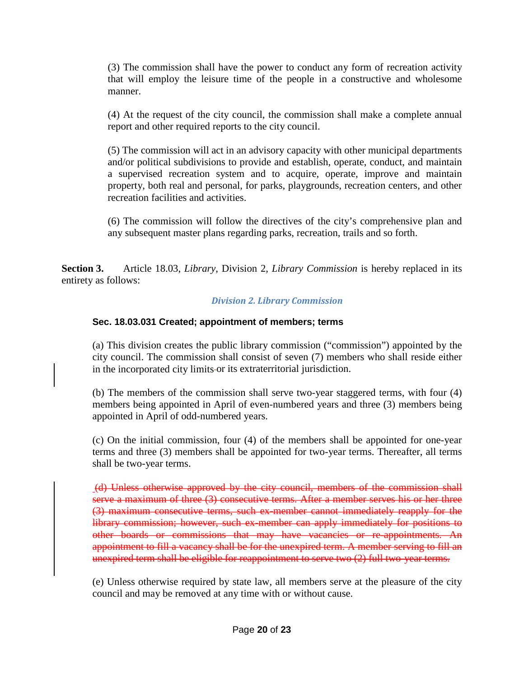(3) The commission shall have the power to conduct any form of recreation activity that will employ the leisure time of the people in a constructive and wholesome manner.

(4) At the request of the city council, the commission shall make a complete annual report and other required reports to the city council.

(5) The commission will act in an advisory capacity with other municipal departments and/or political subdivisions to provide and establish, operate, conduct, and maintain a supervised recreation system and to acquire, operate, improve and maintain property, both real and personal, for parks, playgrounds, recreation centers, and other recreation facilities and activities.

(6) The commission will follow the directives of the city's comprehensive plan and any subsequent master plans regarding parks, recreation, trails and so forth.

**Section 3.** Article 18.03, *Library*, Division 2, *Library Commission* is hereby replaced in its entirety as follows:

## *Division 2. Library Commission*

# **Sec. 18.03.031 Created; appointment of members; terms**

(a) This division creates the public library commission ("commission") appointed by the city council. The commission shall consist of seven (7) members who shall reside either in the incorporated city limits or its extraterritorial jurisdiction.

(b) The members of the commission shall serve two-year staggered terms, with four (4) members being appointed in April of even-numbered years and three (3) members being appointed in April of odd-numbered years.

(c) On the initial commission, four (4) of the members shall be appointed for one-year terms and three (3) members shall be appointed for two-year terms. Thereafter, all terms shall be two-year terms.

(d) Unless otherwise approved by the city council, members of the commission shall serve a maximum of three (3) consecutive terms. After a member serves his or her three (3) maximum consecutive terms, such ex-member cannot immediately reapply for the library commission; however, such ex-member can apply immediately for positions to other boards or commissions that may have vacancies or re-appointments. An appointment to fill a vacancy shall be for the unexpired term. A member serving to fill an unexpired term shall be eligible for reappointment to serve two (2) full two-year terms.

(e) Unless otherwise required by state law, all members serve at the pleasure of the city council and may be removed at any time with or without cause.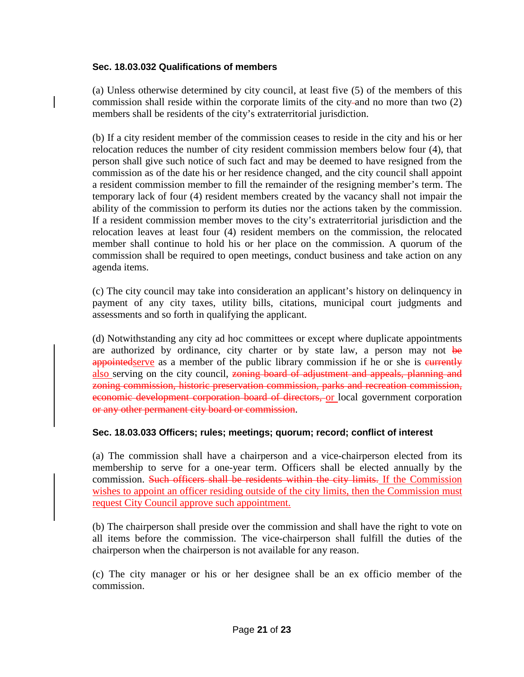## **Sec. 18.03.032 Qualifications of members**

(a) Unless otherwise determined by city council, at least five (5) of the members of this commission shall reside within the corporate limits of the city-and no more than two  $(2)$ members shall be residents of the city's extraterritorial jurisdiction.

(b) If a city resident member of the commission ceases to reside in the city and his or her relocation reduces the number of city resident commission members below four (4), that person shall give such notice of such fact and may be deemed to have resigned from the commission as of the date his or her residence changed, and the city council shall appoint a resident commission member to fill the remainder of the resigning member's term. The temporary lack of four (4) resident members created by the vacancy shall not impair the ability of the commission to perform its duties nor the actions taken by the commission. If a resident commission member moves to the city's extraterritorial jurisdiction and the relocation leaves at least four (4) resident members on the commission, the relocated member shall continue to hold his or her place on the commission. A quorum of the commission shall be required to open meetings, conduct business and take action on any agenda items.

(c) The city council may take into consideration an applicant's history on delinquency in payment of any city taxes, utility bills, citations, municipal court judgments and assessments and so forth in qualifying the applicant.

(d) Notwithstanding any city ad hoc committees or except where duplicate appointments are authorized by ordinance, city charter or by state law, a person may not be appointed serve as a member of the public library commission if he or she is eurrently also serving on the city council, zoning board of adjustment and appeals, planning and zoning commission, historic preservation commission, parks and recreation commission, economic development corporation board of directors, or local government corporation or any other permanent city board or commission.

#### **Sec. 18.03.033 Officers; rules; meetings; quorum; record; conflict of interest**

(a) The commission shall have a chairperson and a vice-chairperson elected from its membership to serve for a one-year term. Officers shall be elected annually by the commission. Such officers shall be residents within the city limits. If the Commission wishes to appoint an officer residing outside of the city limits, then the Commission must request City Council approve such appointment.

(b) The chairperson shall preside over the commission and shall have the right to vote on all items before the commission. The vice-chairperson shall fulfill the duties of the chairperson when the chairperson is not available for any reason.

(c) The city manager or his or her designee shall be an ex officio member of the commission.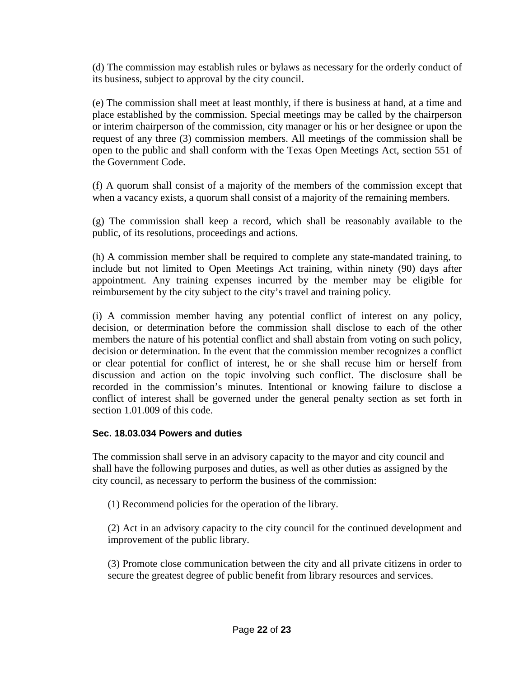(d) The commission may establish rules or bylaws as necessary for the orderly conduct of its business, subject to approval by the city council.

(e) The commission shall meet at least monthly, if there is business at hand, at a time and place established by the commission. Special meetings may be called by the chairperson or interim chairperson of the commission, city manager or his or her designee or upon the request of any three (3) commission members. All meetings of the commission shall be open to the public and shall conform with the Texas Open Meetings Act, section 551 of the Government Code.

(f) A quorum shall consist of a majority of the members of the commission except that when a vacancy exists, a quorum shall consist of a majority of the remaining members.

(g) The commission shall keep a record, which shall be reasonably available to the public, of its resolutions, proceedings and actions.

(h) A commission member shall be required to complete any state-mandated training, to include but not limited to Open Meetings Act training, within ninety (90) days after appointment. Any training expenses incurred by the member may be eligible for reimbursement by the city subject to the city's travel and training policy.

(i) A commission member having any potential conflict of interest on any policy, decision, or determination before the commission shall disclose to each of the other members the nature of his potential conflict and shall abstain from voting on such policy, decision or determination. In the event that the commission member recognizes a conflict or clear potential for conflict of interest, he or she shall recuse him or herself from discussion and action on the topic involving such conflict. The disclosure shall be recorded in the commission's minutes. Intentional or knowing failure to disclose a conflict of interest shall be governed under the general penalty section as set forth in section 1.01.009 of this code.

## **Sec. 18.03.034 Powers and duties**

The commission shall serve in an advisory capacity to the mayor and city council and shall have the following purposes and duties, as well as other duties as assigned by the city council, as necessary to perform the business of the commission:

(1) Recommend policies for the operation of the library.

(2) Act in an advisory capacity to the city council for the continued development and improvement of the public library.

(3) Promote close communication between the city and all private citizens in order to secure the greatest degree of public benefit from library resources and services.